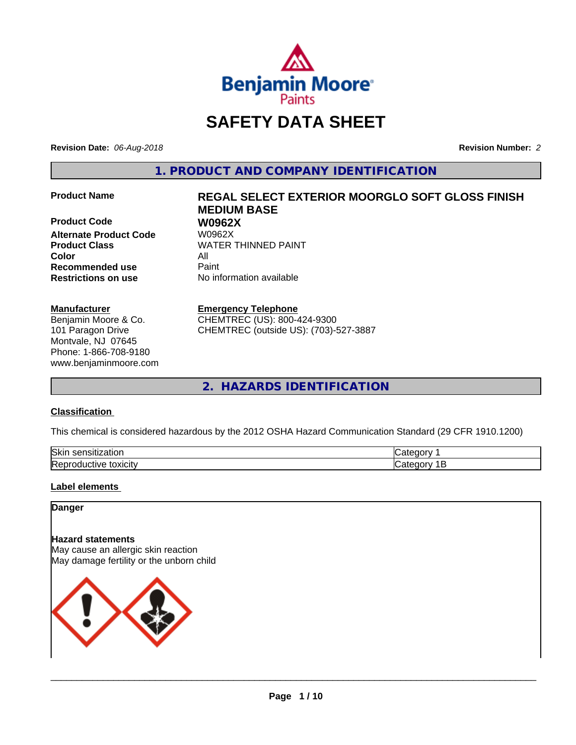

# **SAFETY DATA SHEET**

**Revision Date:** *06-Aug-2018* **Revision Number:** *2*

**1. PRODUCT AND COMPANY IDENTIFICATION**

**Product Code 68 W0962X**<br>Alternate Product Code 68 W0962X **Alternate Product Code Color** All **Recommended use** Paint **Restrictions on use** No information available

#### **Manufacturer**

Benjamin Moore & Co. 101 Paragon Drive Montvale, NJ 07645 Phone: 1-866-708-9180 www.benjaminmoore.com

# **Product Name REGAL SELECT EXTERIOR MOORGLO SOFT GLOSS FINISH MEDIUM BASE**

**Product Class WATER THINNED PAINT** 

#### **Emergency Telephone**

CHEMTREC (US): 800-424-9300 CHEMTREC (outside US): (703)-527-3887

**2. HAZARDS IDENTIFICATION**

#### **Classification**

This chemical is considered hazardous by the 2012 OSHA Hazard Communication Standard (29 CFR 1910.1200)

| Skir<br>$ -$<br>-----<br>.<br>tior<br>יוור<br>$\mathbf{a}$ | -- - -- |
|------------------------------------------------------------|---------|
| toxicity<br><b>SIVE</b><br>-----<br>◡◠                     |         |

### **Label elements**

#### **Danger**

#### **Hazard statements**

May cause an allergic skin reaction May damage fertility or the unborn child

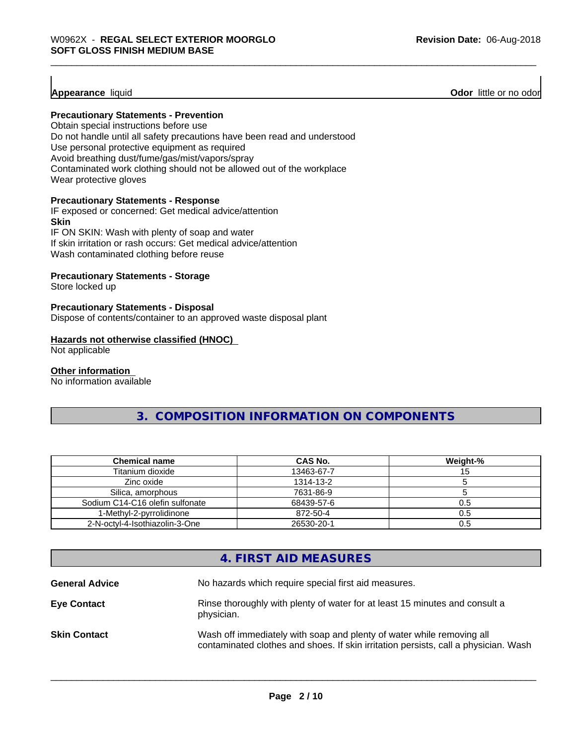**Appearance** liquid **Odor 11** Odor little or no odor

#### **Precautionary Statements - Prevention**

Obtain special instructions before use Do not handle until all safety precautions have been read and understood Use personal protective equipment as required Avoid breathing dust/fume/gas/mist/vapors/spray Contaminated work clothing should not be allowed out of the workplace Wear protective gloves

#### **Precautionary Statements - Response**

IF exposed or concerned: Get medical advice/attention **Skin** IF ON SKIN: Wash with plenty of soap and water If skin irritation or rash occurs: Get medical advice/attention

Wash contaminated clothing before reuse

#### **Precautionary Statements - Storage**

Store locked up

#### **Precautionary Statements - Disposal**

Dispose of contents/container to an approved waste disposal plant

#### **Hazards not otherwise classified (HNOC)**

Not applicable

#### **Other information**

No information available

**3. COMPOSITION INFORMATION ON COMPONENTS**

| <b>Chemical name</b>            | CAS No.    | Weight-% |
|---------------------------------|------------|----------|
| Titanium dioxide                | 13463-67-7 |          |
| Zinc oxide                      | 1314-13-2  |          |
| Silica, amorphous               | 7631-86-9  |          |
| Sodium C14-C16 olefin sulfonate | 68439-57-6 | 0.5      |
| 1-Methyl-2-pyrrolidinone        | 872-50-4   | 0.5      |
| 2-N-octyl-4-Isothiazolin-3-One  | 26530-20-1 | 0.5      |

# **4. FIRST AID MEASURES**

| <b>General Advice</b> | No hazards which require special first aid measures.                                                                                                         |
|-----------------------|--------------------------------------------------------------------------------------------------------------------------------------------------------------|
| <b>Eye Contact</b>    | Rinse thoroughly with plenty of water for at least 15 minutes and consult a<br>physician.                                                                    |
| <b>Skin Contact</b>   | Wash off immediately with soap and plenty of water while removing all<br>contaminated clothes and shoes. If skin irritation persists, call a physician. Wash |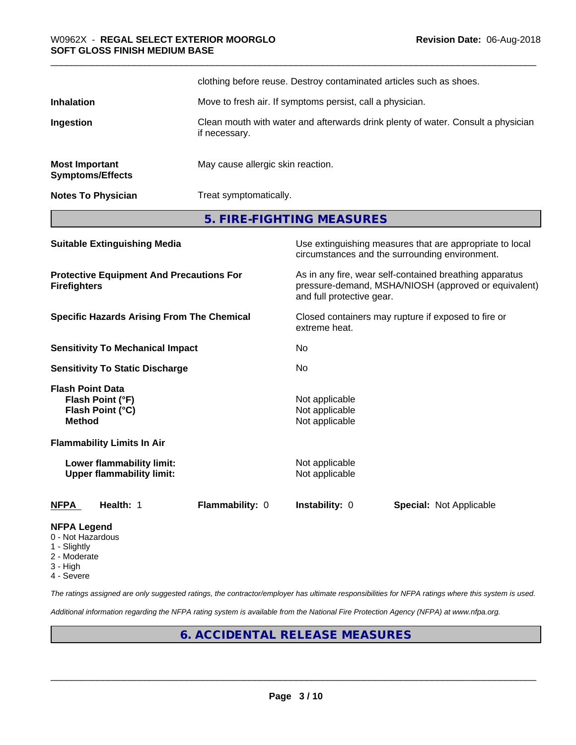|                                                  | clothing before reuse. Destroy contaminated articles such as shoes.                               |
|--------------------------------------------------|---------------------------------------------------------------------------------------------------|
| <b>Inhalation</b>                                | Move to fresh air. If symptoms persist, call a physician.                                         |
| Ingestion                                        | Clean mouth with water and afterwards drink plenty of water. Consult a physician<br>if necessary. |
| <b>Most Important</b><br><b>Symptoms/Effects</b> | May cause allergic skin reaction.                                                                 |
| <b>Notes To Physician</b>                        | Treat symptomatically.                                                                            |

**5. FIRE-FIGHTING MEASURES**

| <b>Suitable Extinguishing Media</b>                                              | Use extinguishing measures that are appropriate to local<br>circumstances and the surrounding environment.                                   |
|----------------------------------------------------------------------------------|----------------------------------------------------------------------------------------------------------------------------------------------|
| <b>Protective Equipment And Precautions For</b><br><b>Firefighters</b>           | As in any fire, wear self-contained breathing apparatus<br>pressure-demand, MSHA/NIOSH (approved or equivalent)<br>and full protective gear. |
| <b>Specific Hazards Arising From The Chemical</b>                                | Closed containers may rupture if exposed to fire or<br>extreme heat.                                                                         |
| <b>Sensitivity To Mechanical Impact</b>                                          | No.                                                                                                                                          |
| <b>Sensitivity To Static Discharge</b>                                           | No.                                                                                                                                          |
| <b>Flash Point Data</b><br>Flash Point (°F)<br>Flash Point (°C)<br><b>Method</b> | Not applicable<br>Not applicable<br>Not applicable                                                                                           |
| <b>Flammability Limits In Air</b>                                                |                                                                                                                                              |
| Lower flammability limit:<br><b>Upper flammability limit:</b>                    | Not applicable<br>Not applicable                                                                                                             |
| Health: 1<br><b>Flammability: 0</b><br><b>NFPA</b>                               | <b>Instability: 0</b><br><b>Special: Not Applicable</b>                                                                                      |
| <b>NFPA Legend</b><br>0 - Not Hazardous                                          |                                                                                                                                              |

- 
- 1 Slightly
- 2 Moderate
- 3 High
- 4 Severe

*The ratings assigned are only suggested ratings, the contractor/employer has ultimate responsibilities for NFPA ratings where this system is used.*

*Additional information regarding the NFPA rating system is available from the National Fire Protection Agency (NFPA) at www.nfpa.org.*

# **6. ACCIDENTAL RELEASE MEASURES**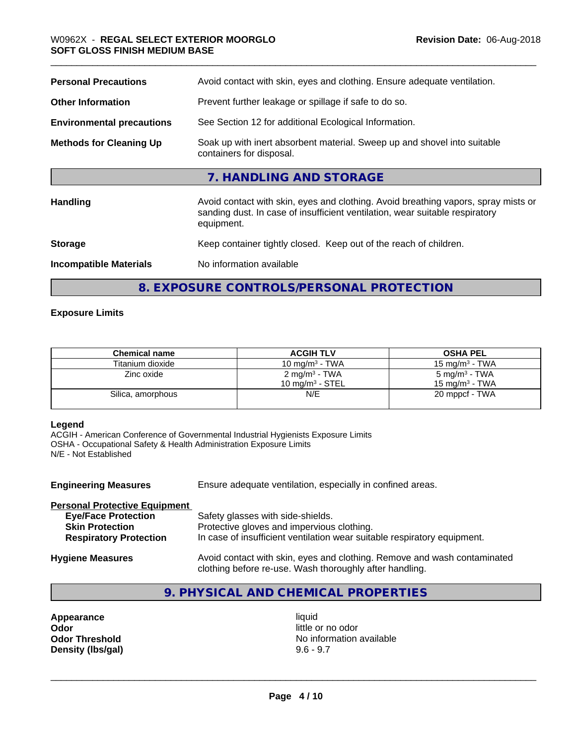| <b>Personal Precautions</b>      | Avoid contact with skin, eyes and clothing. Ensure adequate ventilation.                                                                                                         |
|----------------------------------|----------------------------------------------------------------------------------------------------------------------------------------------------------------------------------|
| <b>Other Information</b>         | Prevent further leakage or spillage if safe to do so.                                                                                                                            |
| <b>Environmental precautions</b> | See Section 12 for additional Ecological Information.                                                                                                                            |
| <b>Methods for Cleaning Up</b>   | Soak up with inert absorbent material. Sweep up and shovel into suitable<br>containers for disposal.                                                                             |
|                                  | 7. HANDLING AND STORAGE                                                                                                                                                          |
| <b>Handling</b>                  | Avoid contact with skin, eyes and clothing. Avoid breathing vapors, spray mists or<br>sanding dust. In case of insufficient ventilation, wear suitable respiratory<br>equipment. |
| <b>Storage</b>                   | Keep container tightly closed. Keep out of the reach of children.                                                                                                                |
| <b>Incompatible Materials</b>    | No information available                                                                                                                                                         |
|                                  |                                                                                                                                                                                  |

**8. EXPOSURE CONTROLS/PERSONAL PROTECTION**

### **Exposure Limits**

| <b>Chemical name</b> | <b>ACGIH TLV</b>                                | <b>OSHA PEL</b>                                        |
|----------------------|-------------------------------------------------|--------------------------------------------------------|
| Titanium dioxide     | 10 mg/m $3$ - TWA                               | $15 \text{ mg/m}^3$ - TWA                              |
| Zinc oxide           | 2 mg/m <sup>3</sup> - TWA<br>10 mg/m $3$ - STEL | 5 mg/m <sup>3</sup> - TWA<br>$15 \text{ ma/m}^3$ - TWA |
| Silica, amorphous    | N/E                                             | 20 mppcf - TWA                                         |

#### **Legend**

ACGIH - American Conference of Governmental Industrial Hygienists Exposure Limits OSHA - Occupational Safety & Health Administration Exposure Limits N/E - Not Established

| <b>Engineering Measures</b>          | Ensure adequate ventilation, especially in confined areas.                                                                          |
|--------------------------------------|-------------------------------------------------------------------------------------------------------------------------------------|
| <b>Personal Protective Equipment</b> |                                                                                                                                     |
| <b>Eye/Face Protection</b>           | Safety glasses with side-shields.                                                                                                   |
| <b>Skin Protection</b>               | Protective gloves and impervious clothing.                                                                                          |
| <b>Respiratory Protection</b>        | In case of insufficient ventilation wear suitable respiratory equipment.                                                            |
| <b>Hygiene Measures</b>              | Avoid contact with skin, eyes and clothing. Remove and wash contaminated<br>clothing before re-use. Wash thoroughly after handling. |

# **9. PHYSICAL AND CHEMICAL PROPERTIES**

**Appearance** liquid<br> **Odor** little c **Odor Odor** little or no odor<br> **Odor Threshold Containery of the Containery of the Containery of the Containery of the Containery of the Contain Density (lbs/gal)** 

**No information available**<br>9.6 - 9.7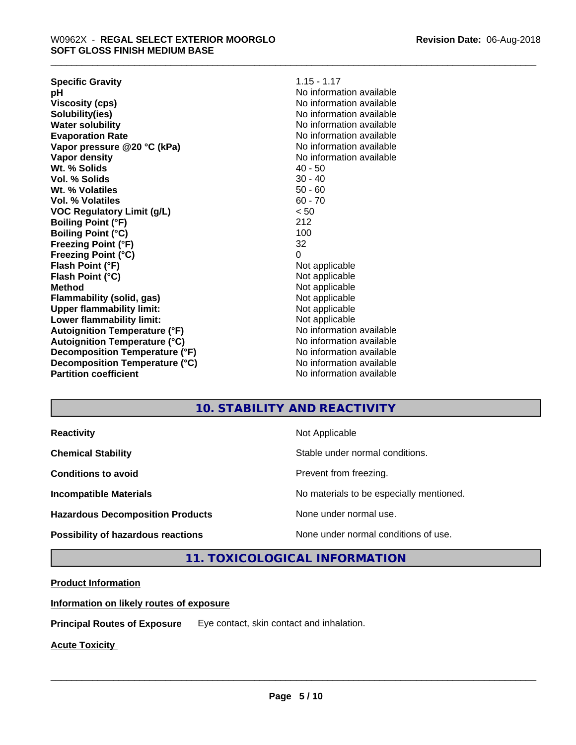**Specific Gravity** 1.15 - 1.17 **pH pH**  $\blacksquare$ **Viscosity (cps)** No information available **Solubility(ies)**<br> **Solubility**<br> **Water solubility**<br> **Water solubility Evaporation Rate Evaporation Rate No information available Vapor pressure @20 °C (kPa)** No information available **Vapor density No information available No information available Wt.** % Solids 40 - 50 **Vol. % Solids** 30 - 40 **Wt. % Volatiles** 50 - 60 **Vol. % Volatiles** 60 - 70 **VOC Regulatory Limit (g/L)** < 50 **Boiling Point (°F) Boiling Point (°C)** 100 **Freezing Point (°F)** 32 **Freezing Point (°C)** 0 **Flash Point (°F)** Not applicable **Flash Point (°C)** Not applicable **Method** Not applicable **Flammability (solid, gas)** Not applicable **Upper flammability limit:** Not applicable **Lower flammability limit:**<br> **Autoignition Temperature (°F)** Not applicable havailable available **Autoignition Temperature (°F)**<br> **Autoignition Temperature (°C)** Moinformation available **Autoignition Temperature (°C)**<br> **Decomposition Temperature (°F)** No information available **Decomposition Temperature (°F) Decomposition Temperature (°C)** No information available **Partition coefficient Contract Contract Contract Contract Contract Contract Contract Contract Contract Contract Contract Contract Contract Contract Contract Contract Contract Contract Contract Contract Contract Contract** 

**No information available** 

## **10. STABILITY AND REACTIVITY**

**Hazardous Decomposition Products** None under normal use.

**Reactivity** Not Applicable

**Chemical Stability Stable under normal conditions.** 

**Conditions to avoid Prevent from freezing.** 

**Incompatible Materials No materials** No materials to be especially mentioned.

 $\overline{\phantom{a}}$  ,  $\overline{\phantom{a}}$  ,  $\overline{\phantom{a}}$  ,  $\overline{\phantom{a}}$  ,  $\overline{\phantom{a}}$  ,  $\overline{\phantom{a}}$  ,  $\overline{\phantom{a}}$  ,  $\overline{\phantom{a}}$  ,  $\overline{\phantom{a}}$  ,  $\overline{\phantom{a}}$  ,  $\overline{\phantom{a}}$  ,  $\overline{\phantom{a}}$  ,  $\overline{\phantom{a}}$  ,  $\overline{\phantom{a}}$  ,  $\overline{\phantom{a}}$  ,  $\overline{\phantom{a}}$ 

**Possibility of hazardous reactions** None under normal conditions of use.

**11. TOXICOLOGICAL INFORMATION**

### **Product Information**

**Information on likely routes of exposure**

**Principal Routes of Exposure** Eye contact, skin contact and inhalation.

**Acute Toxicity**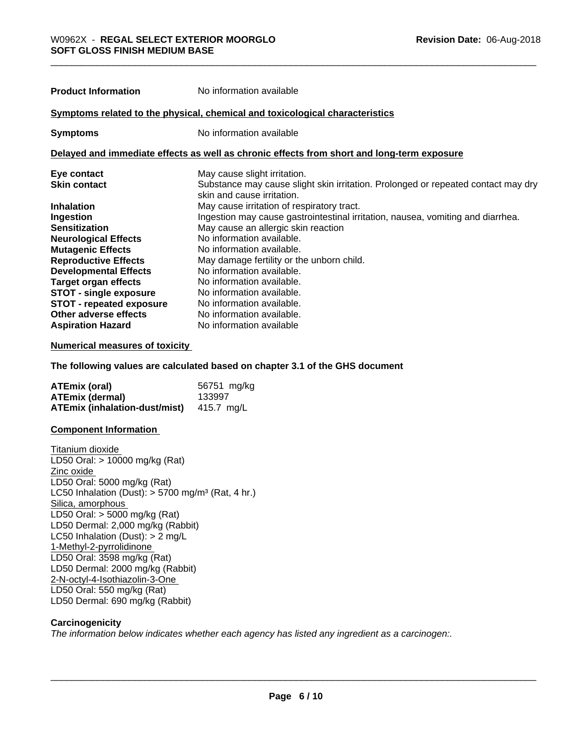**Product Information** No information available

| Proquet Information                                                                                                                                                                                                                                                                                                                  | <u>ino imornialion avaliable</u>                                                                                |
|--------------------------------------------------------------------------------------------------------------------------------------------------------------------------------------------------------------------------------------------------------------------------------------------------------------------------------------|-----------------------------------------------------------------------------------------------------------------|
|                                                                                                                                                                                                                                                                                                                                      | Symptoms related to the physical, chemical and toxicological characteristics                                    |
| <b>Symptoms</b>                                                                                                                                                                                                                                                                                                                      | No information available                                                                                        |
|                                                                                                                                                                                                                                                                                                                                      | Delayed and immediate effects as well as chronic effects from short and long-term exposure                      |
| Eye contact                                                                                                                                                                                                                                                                                                                          | May cause slight irritation.                                                                                    |
| <b>Skin contact</b>                                                                                                                                                                                                                                                                                                                  | Substance may cause slight skin irritation. Prolonged or repeated contact may dry<br>skin and cause irritation. |
| <b>Inhalation</b>                                                                                                                                                                                                                                                                                                                    | May cause irritation of respiratory tract.                                                                      |
| Ingestion                                                                                                                                                                                                                                                                                                                            | Ingestion may cause gastrointestinal irritation, nausea, vomiting and diarrhea.                                 |
| <b>Sensitization</b>                                                                                                                                                                                                                                                                                                                 | May cause an allergic skin reaction                                                                             |
| <b>Neurological Effects</b>                                                                                                                                                                                                                                                                                                          | No information available.                                                                                       |
| <b>Mutagenic Effects</b>                                                                                                                                                                                                                                                                                                             | No information available.                                                                                       |
| <b>Reproductive Effects</b>                                                                                                                                                                                                                                                                                                          | May damage fertility or the unborn child.                                                                       |
| <b>Developmental Effects</b>                                                                                                                                                                                                                                                                                                         | No information available.                                                                                       |
| <b>Target organ effects</b>                                                                                                                                                                                                                                                                                                          | No information available.                                                                                       |
| $\mathbf{ATAT}$ $\mathbf{F}$ $\mathbf{F}$ $\mathbf{F}$ $\mathbf{F}$ $\mathbf{F}$ $\mathbf{F}$ $\mathbf{F}$ $\mathbf{F}$ $\mathbf{F}$ $\mathbf{F}$ $\mathbf{F}$ $\mathbf{F}$ $\mathbf{F}$ $\mathbf{F}$ $\mathbf{F}$ $\mathbf{F}$ $\mathbf{F}$ $\mathbf{F}$ $\mathbf{F}$ $\mathbf{F}$ $\mathbf{F}$ $\mathbf{F}$ $\mathbf{F}$ $\mathbf$ | Na information ovellable                                                                                        |

#### **STOT - single exposure** No information available. **STOT - repeated exposure** No information available. **Other adverse effects** No information available.<br> **Aspiration Hazard** No information available **No information available**

#### **Numerical measures of toxicity**

**The following values are calculated based on chapter 3.1 of the GHS document**

| <b>ATEmix (oral)</b>                            | 56751 mg/kg |
|-------------------------------------------------|-------------|
| <b>ATEmix (dermal)</b>                          | 133997      |
| <b>ATEmix (inhalation-dust/mist)</b> 415.7 mg/L |             |

#### **Component Information**

Titanium dioxide LD50 Oral: > 10000 mg/kg (Rat) Zinc oxide LD50 Oral: 5000 mg/kg (Rat) LC50 Inhalation (Dust):  $> 5700$  mg/m<sup>3</sup> (Rat, 4 hr.) Silica, amorphous LD50 Oral: > 5000 mg/kg (Rat) LD50 Dermal: 2,000 mg/kg (Rabbit) LC50 Inhalation (Dust): > 2 mg/L 1-Methyl-2-pyrrolidinone LD50 Oral: 3598 mg/kg (Rat) LD50 Dermal: 2000 mg/kg (Rabbit) 2-N-octyl-4-Isothiazolin-3-One LD50 Oral: 550 mg/kg (Rat) LD50 Dermal: 690 mg/kg (Rabbit)

#### **Carcinogenicity**

*The information below indicateswhether each agency has listed any ingredient as a carcinogen:.*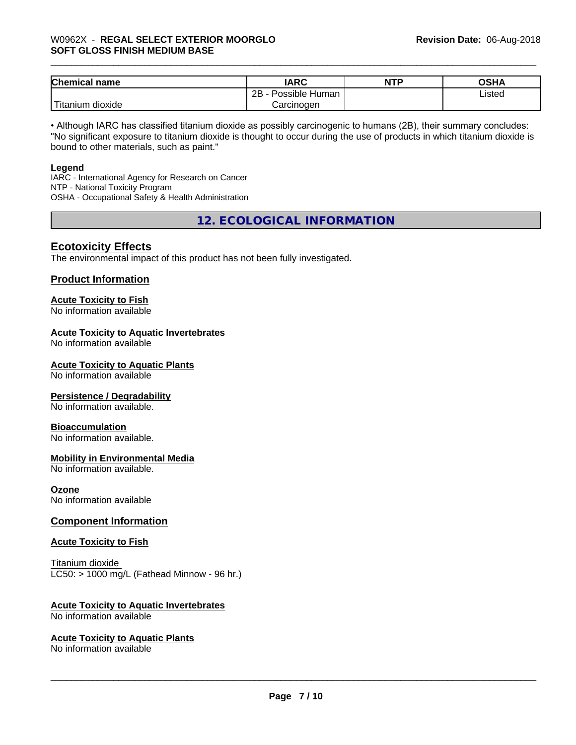| <b>Chemical</b><br>name          | <b>IARC</b>               | <b>NTP</b> | ∩ເມ∧<br>שרט |
|----------------------------------|---------------------------|------------|-------------|
|                                  | .<br>2B<br>Possible Human |            | Listed      |
| $\mathbf{r}$<br>litanium dioxide | Carcinogen                |            |             |

• Although IARC has classified titanium dioxide as possibly carcinogenic to humans (2B), their summary concludes: "No significant exposure to titanium dioxide is thought to occur during the use of products in which titanium dioxide is bound to other materials, such as paint."

#### **Legend**

IARC - International Agency for Research on Cancer NTP - National Toxicity Program OSHA - Occupational Safety & Health Administration

**12. ECOLOGICAL INFORMATION**

#### **Ecotoxicity Effects**

The environmental impact of this product has not been fully investigated.

#### **Product Information**

# **Acute Toxicity to Fish**

No information available

#### **Acute Toxicity to Aquatic Invertebrates**

No information available

#### **Acute Toxicity to Aquatic Plants**

No information available

#### **Persistence / Degradability**

No information available.

#### **Bioaccumulation**

No information available.

#### **Mobility in Environmental Media**

No information available.

#### **Ozone**

No information available

#### **Component Information**

#### **Acute Toxicity to Fish**

Titanium dioxide  $LC50:$  > 1000 mg/L (Fathead Minnow - 96 hr.)

#### **Acute Toxicity to Aquatic Invertebrates**

No information available

#### **Acute Toxicity to Aquatic Plants**

No information available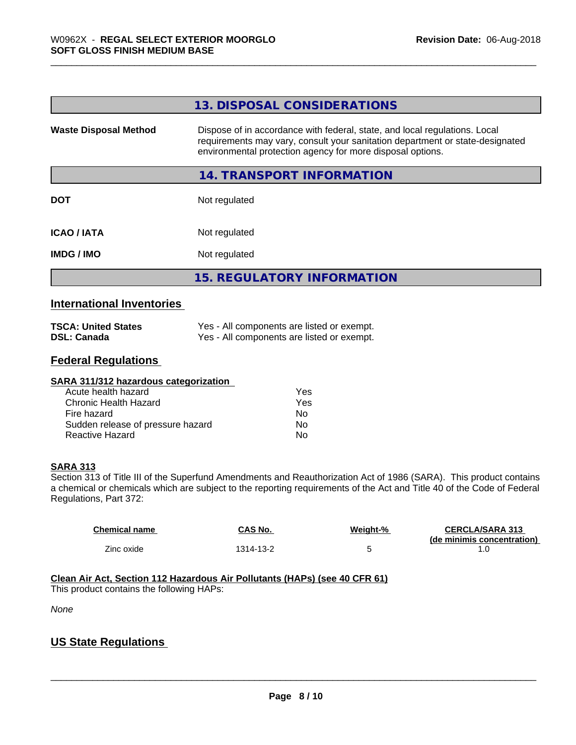|                              | 13. DISPOSAL CONSIDERATIONS                                                                                                                                                                                               |
|------------------------------|---------------------------------------------------------------------------------------------------------------------------------------------------------------------------------------------------------------------------|
| <b>Waste Disposal Method</b> | Dispose of in accordance with federal, state, and local regulations. Local<br>requirements may vary, consult your sanitation department or state-designated<br>environmental protection agency for more disposal options. |
|                              | 14. TRANSPORT INFORMATION                                                                                                                                                                                                 |
| <b>DOT</b>                   | Not regulated                                                                                                                                                                                                             |
| <b>ICAO/IATA</b>             | Not regulated                                                                                                                                                                                                             |
| <b>IMDG/IMO</b>              | Not regulated                                                                                                                                                                                                             |
|                              | <b>15. REGULATORY INFORMATION</b>                                                                                                                                                                                         |

#### **International Inventories**

| <b>TSCA: United States</b> | Yes - All components are listed or exempt. |
|----------------------------|--------------------------------------------|
| <b>DSL: Canada</b>         | Yes - All components are listed or exempt. |

# **Federal Regulations**

| SARA 311/312 hazardous categorization |     |
|---------------------------------------|-----|
| Acute health hazard                   | Yes |
| Chronic Health Hazard                 | Yes |
| Fire hazard                           | No  |
| Sudden release of pressure hazard     | No  |
| Reactive Hazard                       | No  |

#### **SARA 313**

Section 313 of Title III of the Superfund Amendments and Reauthorization Act of 1986 (SARA). This product contains a chemical or chemicals which are subject to the reporting requirements of the Act and Title 40 of the Code of Federal Regulations, Part 372:

| <b>Chemical name</b> | CAS No.   | Weight-% | <b>CERCLA/SARA 313</b>     |
|----------------------|-----------|----------|----------------------------|
|                      |           |          | (de minimis concentration) |
| Zinc oxide           | 1314-13-2 |          |                            |

**Clean Air Act,Section 112 Hazardous Air Pollutants (HAPs) (see 40 CFR 61)**

This product contains the following HAPs:

*None*

# **US State Regulations**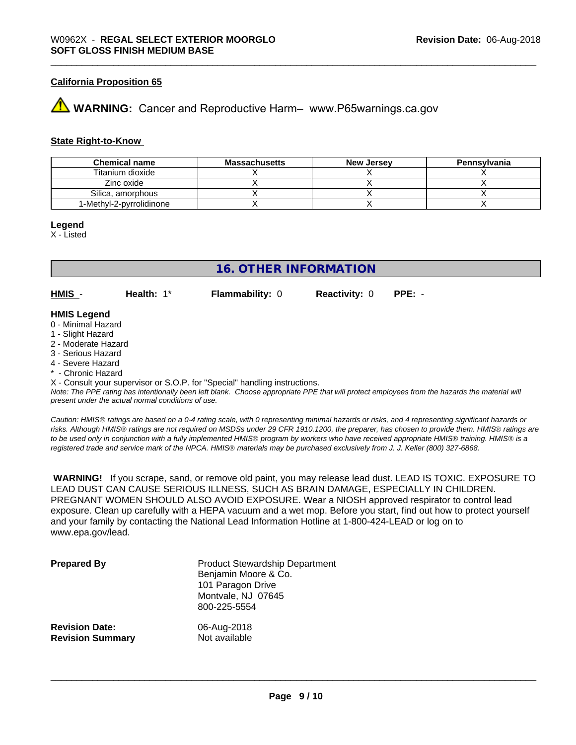#### **California Proposition 65**

# **WARNING:** Cancer and Reproductive Harm– www.P65warnings.ca.gov

#### **State Right-to-Know**

| <b>Chemical name</b>     | <b>Massachusetts</b> | <b>New Jersey</b> | Pennsylvania |
|--------------------------|----------------------|-------------------|--------------|
| Titanium dioxide         |                      |                   |              |
| Zinc oxide               |                      |                   |              |
| Silica, amorphous        |                      |                   |              |
| 1-Methyl-2-pyrrolidinone |                      |                   |              |

#### **Legend**

X - Listed

# **16. OTHER INFORMATION**

**HMIS** - **Health:** 1\* **Flammability:** 0 **Reactivity:** 0 **PPE:** -

#### **HMIS Legend**

- 0 Minimal Hazard
- 1 Slight Hazard
- 2 Moderate Hazard
- 3 Serious Hazard
- 4 Severe Hazard
- \* Chronic Hazard

X - Consult your supervisor or S.O.P. for "Special" handling instructions.

*Note: The PPE rating has intentionally been left blank. Choose appropriate PPE that will protect employees from the hazards the material will present under the actual normal conditions of use.*

*Caution: HMISÒ ratings are based on a 0-4 rating scale, with 0 representing minimal hazards or risks, and 4 representing significant hazards or risks. Although HMISÒ ratings are not required on MSDSs under 29 CFR 1910.1200, the preparer, has chosen to provide them. HMISÒ ratings are to be used only in conjunction with a fully implemented HMISÒ program by workers who have received appropriate HMISÒ training. HMISÒ is a registered trade and service mark of the NPCA. HMISÒ materials may be purchased exclusively from J. J. Keller (800) 327-6868.*

 **WARNING!** If you scrape, sand, or remove old paint, you may release lead dust. LEAD IS TOXIC. EXPOSURE TO LEAD DUST CAN CAUSE SERIOUS ILLNESS, SUCH AS BRAIN DAMAGE, ESPECIALLY IN CHILDREN. PREGNANT WOMEN SHOULD ALSO AVOID EXPOSURE.Wear a NIOSH approved respirator to control lead exposure. Clean up carefully with a HEPA vacuum and a wet mop. Before you start, find out how to protect yourself and your family by contacting the National Lead Information Hotline at 1-800-424-LEAD or log on to www.epa.gov/lead.

| <b>Prepared By</b>      | <b>Product Stewardship Department</b><br>Benjamin Moore & Co.<br>101 Paragon Drive<br>Montvale, NJ 07645<br>800-225-5554 |
|-------------------------|--------------------------------------------------------------------------------------------------------------------------|
| <b>Revision Date:</b>   | 06-Aug-2018                                                                                                              |
| <b>Revision Summary</b> | Not available                                                                                                            |